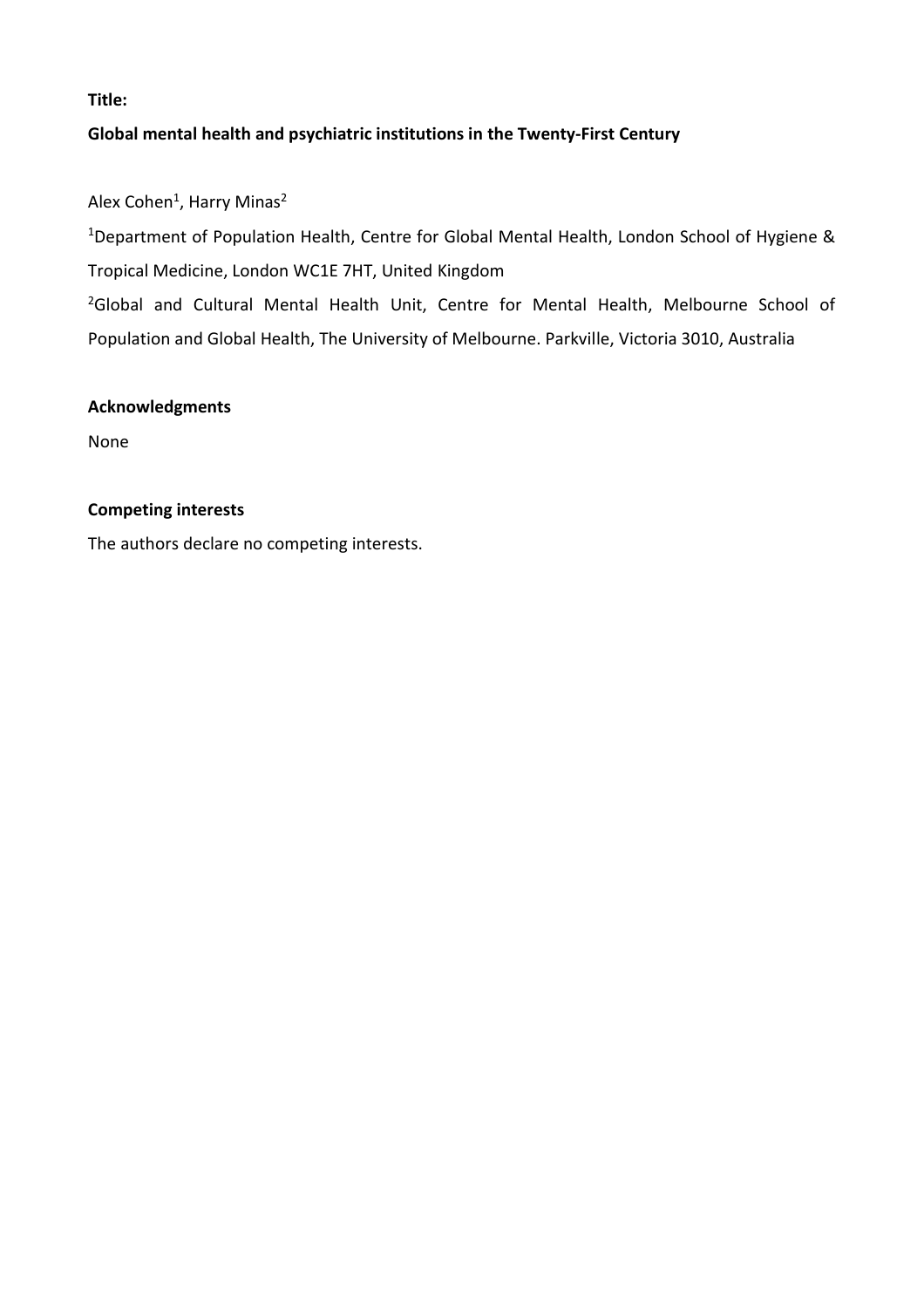**Title:**

# **Global mental health and psychiatric institutions in the Twenty-First Century**

Alex Cohen<sup>1</sup>, Harry Minas<sup>2</sup>

<sup>1</sup>Department of Population Health, Centre for Global Mental Health, London School of Hygiene & Tropical Medicine, London WC1E 7HT, United Kingdom

<sup>2</sup>Global and Cultural Mental Health Unit, Centre for Mental Health, Melbourne School of Population and Global Health, The University of Melbourne. Parkville, Victoria 3010, Australia

## **Acknowledgments**

None

# **Competing interests**

The authors declare no competing interests.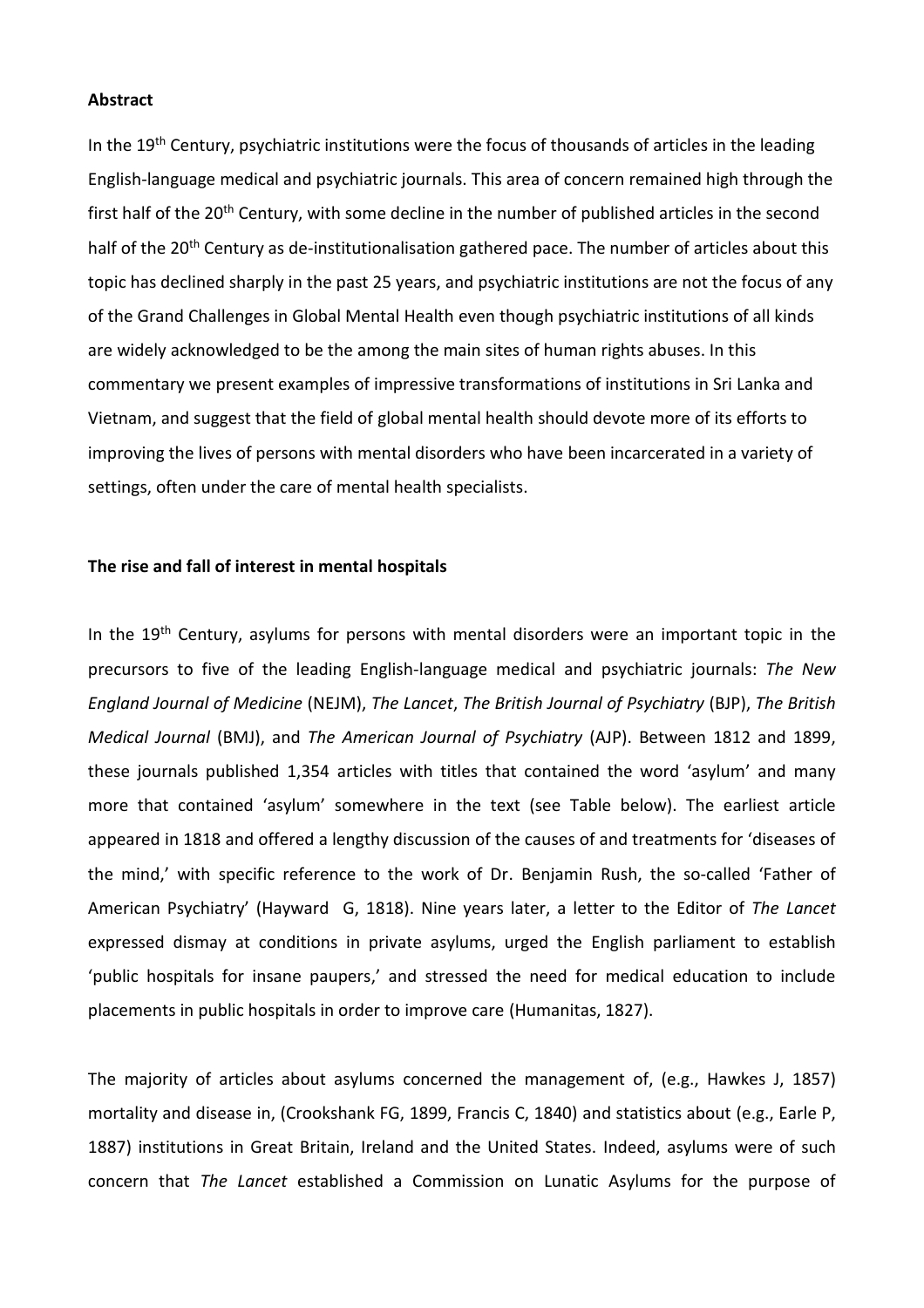### **Abstract**

In the 19<sup>th</sup> Century, psychiatric institutions were the focus of thousands of articles in the leading English-language medical and psychiatric journals. This area of concern remained high through the first half of the 20<sup>th</sup> Century, with some decline in the number of published articles in the second half of the 20<sup>th</sup> Century as de-institutionalisation gathered pace. The number of articles about this topic has declined sharply in the past 25 years, and psychiatric institutions are not the focus of any of the Grand Challenges in Global Mental Health even though psychiatric institutions of all kinds are widely acknowledged to be the among the main sites of human rights abuses. In this commentary we present examples of impressive transformations of institutions in Sri Lanka and Vietnam, and suggest that the field of global mental health should devote more of its efforts to improving the lives of persons with mental disorders who have been incarcerated in a variety of settings, often under the care of mental health specialists.

### **The rise and fall of interest in mental hospitals**

In the  $19<sup>th</sup>$  Century, asylums for persons with mental disorders were an important topic in the precursors to five of the leading English-language medical and psychiatric journals: *The New England Journal of Medicine* (NEJM), *The Lancet*, *The British Journal of Psychiatry* (BJP), *The British Medical Journal* (BMJ), and *The American Journal of Psychiatry* (AJP). Between 1812 and 1899, these journals published 1,354 articles with titles that contained the word 'asylum' and many more that contained 'asylum' somewhere in the text (see Table below). The earliest article appeared in 1818 and offered a lengthy discussion of the causes of and treatments for 'diseases of the mind,' with specific reference to the work of Dr. Benjamin Rush, the so-called 'Father of American Psychiatry' (Hayward G, 1818). Nine years later, a letter to the Editor of *The Lancet* expressed dismay at conditions in private asylums, urged the English parliament to establish 'public hospitals for insane paupers,' and stressed the need for medical education to include placements in public hospitals in order to improve care (Humanitas, 1827).

The majority of articles about asylums concerned the management of, (e.g., Hawkes J, 1857) mortality and disease in, (Crookshank FG, 1899, Francis C, 1840) and statistics about (e.g., Earle P, 1887) institutions in Great Britain, Ireland and the United States. Indeed, asylums were of such concern that *The Lancet* established a Commission on Lunatic Asylums for the purpose of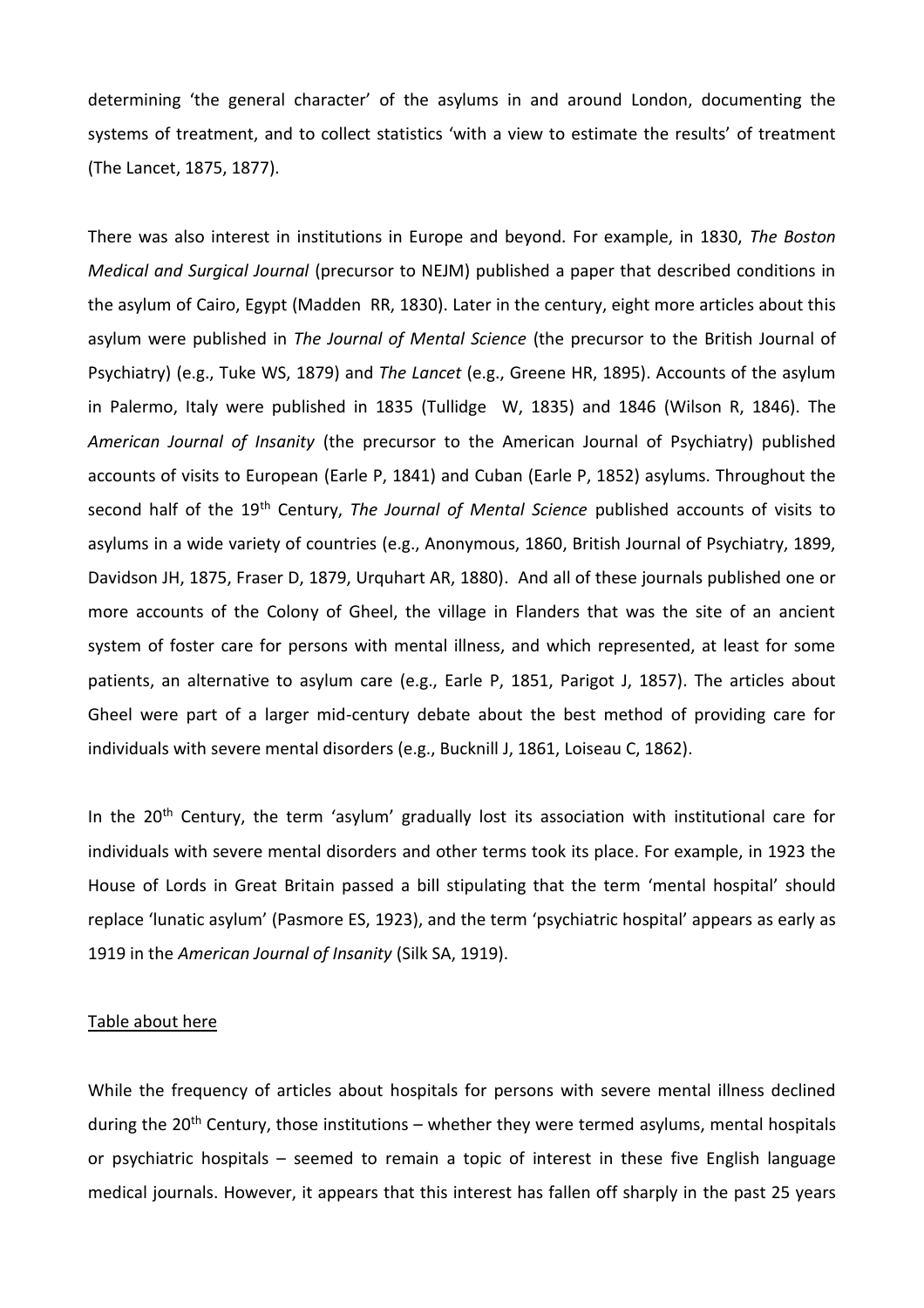determining 'the general character' of the asylums in and around London, documenting the systems of treatment, and to collect statistics 'with a view to estimate the results' of treatment (The Lancet, 1875, 1877).

There was also interest in institutions in Europe and beyond. For example, in 1830, *The Boston Medical and Surgical Journal* (precursor to NEJM) published a paper that described conditions in the asylum of Cairo, Egypt (Madden RR, 1830). Later in the century, eight more articles about this asylum were published in *The Journal of Mental Science* (the precursor to the British Journal of Psychiatry) (e.g., Tuke WS, 1879) and *The Lancet* (e.g., Greene HR, 1895). Accounts of the asylum in Palermo, Italy were published in 1835 (Tullidge W, 1835) and 1846 (Wilson R, 1846). The *American Journal of Insanity* (the precursor to the American Journal of Psychiatry) published accounts of visits to European (Earle P, 1841) and Cuban (Earle P, 1852) asylums. Throughout the second half of the 19th Century, *The Journal of Mental Science* published accounts of visits to asylums in a wide variety of countries (e.g., Anonymous, 1860, British Journal of Psychiatry, 1899, Davidson JH, 1875, Fraser D, 1879, Urquhart AR, 1880). And all of these journals published one or more accounts of the Colony of Gheel, the village in Flanders that was the site of an ancient system of foster care for persons with mental illness, and which represented, at least for some patients, an alternative to asylum care (e.g., Earle P, 1851, Parigot J, 1857). The articles about Gheel were part of a larger mid-century debate about the best method of providing care for individuals with severe mental disorders (e.g., Bucknill J, 1861, Loiseau C, 1862).

In the 20<sup>th</sup> Century, the term 'asylum' gradually lost its association with institutional care for individuals with severe mental disorders and other terms took its place. For example, in 1923 the House of Lords in Great Britain passed a bill stipulating that the term 'mental hospital' should replace 'lunatic asylum' (Pasmore ES, 1923), and the term 'psychiatric hospital' appears as early as 1919 in the *American Journal of Insanity* (Silk SA, 1919).

## Table about here

While the frequency of articles about hospitals for persons with severe mental illness declined during the  $20<sup>th</sup>$  Century, those institutions – whether they were termed asylums, mental hospitals or psychiatric hospitals – seemed to remain a topic of interest in these five English language medical journals. However, it appears that this interest has fallen off sharply in the past 25 years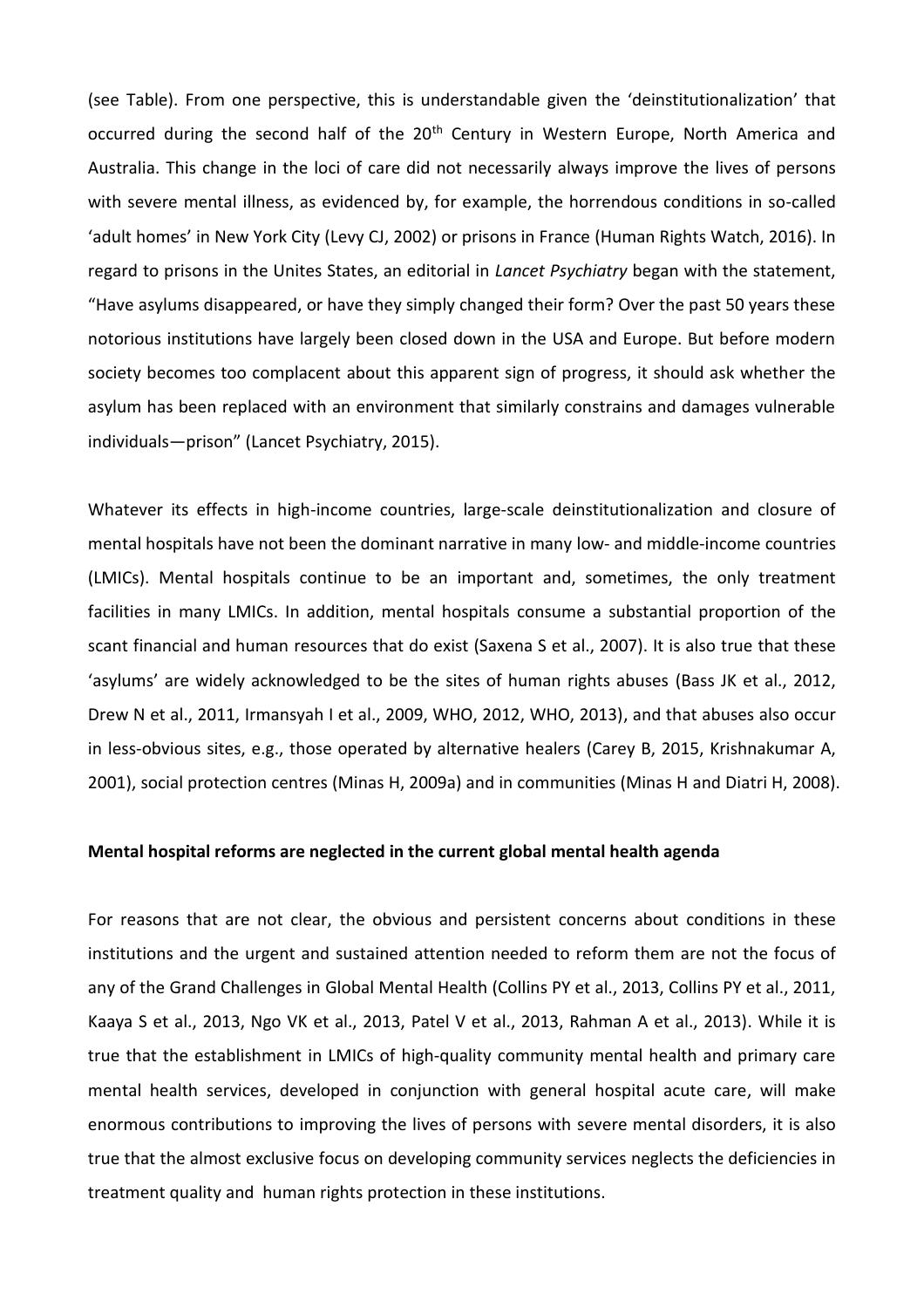(see Table). From one perspective, this is understandable given the 'deinstitutionalization' that occurred during the second half of the 20<sup>th</sup> Century in Western Europe, North America and Australia. This change in the loci of care did not necessarily always improve the lives of persons with severe mental illness, as evidenced by, for example, the horrendous conditions in so-called 'adult homes' in New York City (Levy CJ, 2002) or prisons in France (Human Rights Watch, 2016). In regard to prisons in the Unites States, an editorial in *Lancet Psychiatry* began with the statement, "Have asylums disappeared, or have they simply changed their form? Over the past 50 years these notorious institutions have largely been closed down in the USA and Europe. But before modern society becomes too complacent about this apparent sign of progress, it should ask whether the asylum has been replaced with an environment that similarly constrains and damages vulnerable individuals—prison" (Lancet Psychiatry, 2015).

Whatever its effects in high-income countries, large-scale deinstitutionalization and closure of mental hospitals have not been the dominant narrative in many low- and middle-income countries (LMICs). Mental hospitals continue to be an important and, sometimes, the only treatment facilities in many LMICs. In addition, mental hospitals consume a substantial proportion of the scant financial and human resources that do exist (Saxena S et al., 2007). It is also true that these 'asylums' are widely acknowledged to be the sites of human rights abuses (Bass JK et al., 2012, Drew N et al., 2011, Irmansyah I et al., 2009, WHO, 2012, WHO, 2013), and that abuses also occur in less-obvious sites, e.g., those operated by alternative healers (Carey B, 2015, Krishnakumar A, 2001), social protection centres (Minas H, 2009a) and in communities (Minas H and Diatri H, 2008).

### **Mental hospital reforms are neglected in the current global mental health agenda**

For reasons that are not clear, the obvious and persistent concerns about conditions in these institutions and the urgent and sustained attention needed to reform them are not the focus of any of the Grand Challenges in Global Mental Health (Collins PY et al., 2013, Collins PY et al., 2011, Kaaya S et al., 2013, Ngo VK et al., 2013, Patel V et al., 2013, Rahman A et al., 2013). While it is true that the establishment in LMICs of high-quality community mental health and primary care mental health services, developed in conjunction with general hospital acute care, will make enormous contributions to improving the lives of persons with severe mental disorders, it is also true that the almost exclusive focus on developing community services neglects the deficiencies in treatment quality and human rights protection in these institutions.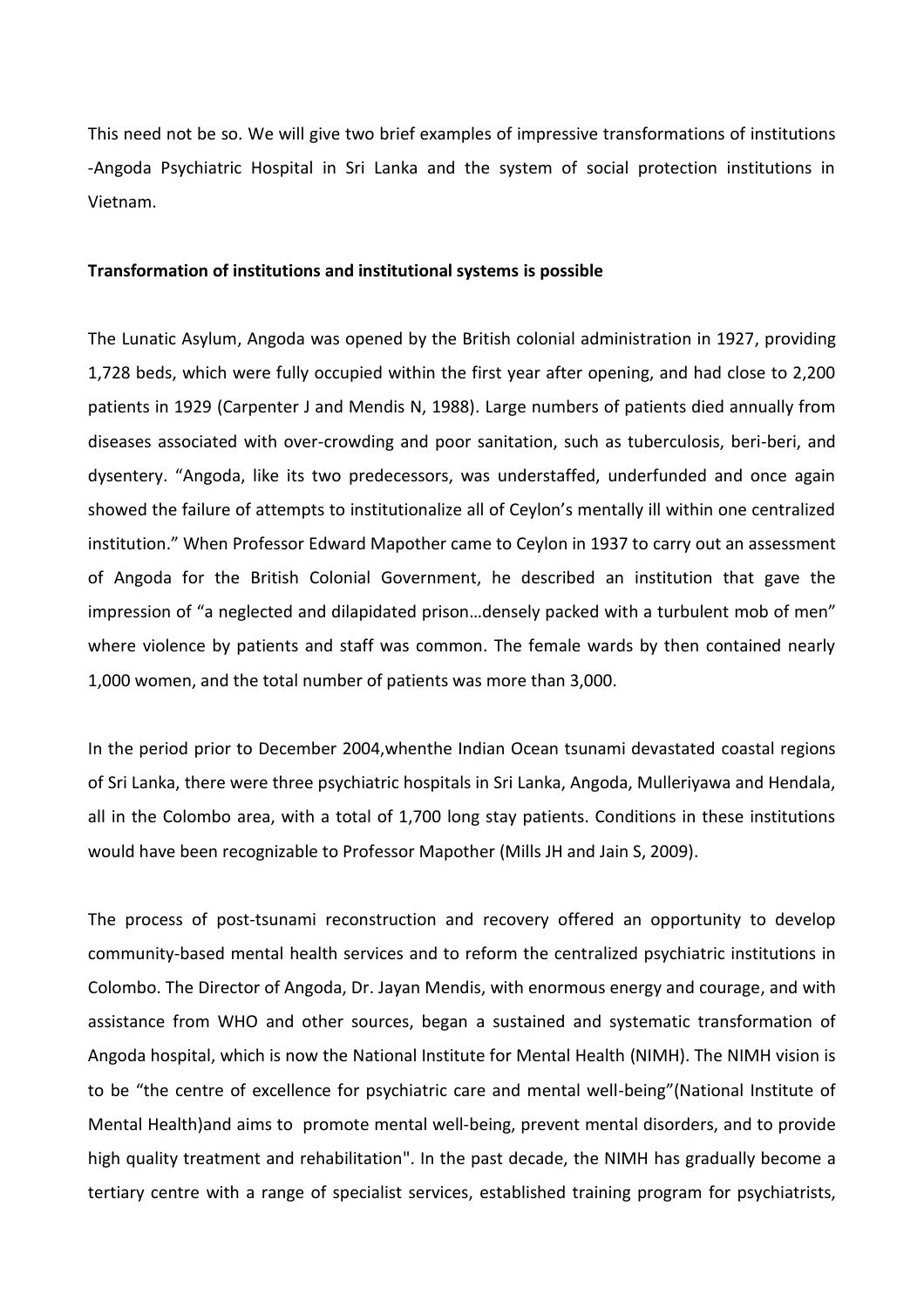This need not be so. We will give two brief examples of impressive transformations of institutions -Angoda Psychiatric Hospital in Sri Lanka and the system of social protection institutions in Vietnam.

### **Transformation of institutions and institutional systems is possible**

The Lunatic Asylum, Angoda was opened by the British colonial administration in 1927, providing 1,728 beds, which were fully occupied within the first year after opening, and had close to 2,200 patients in 1929 (Carpenter J and Mendis N, 1988). Large numbers of patients died annually from diseases associated with over-crowding and poor sanitation, such as tuberculosis, beri-beri, and dysentery. "Angoda, like its two predecessors, was understaffed, underfunded and once again showed the failure of attempts to institutionalize all of Ceylon's mentally ill within one centralized institution." When Professor Edward Mapother came to Ceylon in 1937 to carry out an assessment of Angoda for the British Colonial Government, he described an institution that gave the impression of "a neglected and dilapidated prison…densely packed with a turbulent mob of men" where violence by patients and staff was common. The female wards by then contained nearly 1,000 women, and the total number of patients was more than 3,000.

In the period prior to December 2004,whenthe Indian Ocean tsunami devastated coastal regions of Sri Lanka, there were three psychiatric hospitals in Sri Lanka, Angoda, Mulleriyawa and Hendala, all in the Colombo area, with a total of 1,700 long stay patients. Conditions in these institutions would have been recognizable to Professor Mapother (Mills JH and Jain S, 2009).

The process of post-tsunami reconstruction and recovery offered an opportunity to develop community-based mental health services and to reform the centralized psychiatric institutions in Colombo. The Director of Angoda, Dr. Jayan Mendis, with enormous energy and courage, and with assistance from WHO and other sources, began a sustained and systematic transformation of Angoda hospital, which is now the National Institute for Mental Health (NIMH). The NIMH vision is to be "the centre of excellence for psychiatric care and mental well-being"(National Institute of Mental Health)and aims to promote mental well-being, prevent mental disorders, and to provide high quality treatment and rehabilitation". In the past decade, the NIMH has gradually become a tertiary centre with a range of specialist services, established training program for psychiatrists,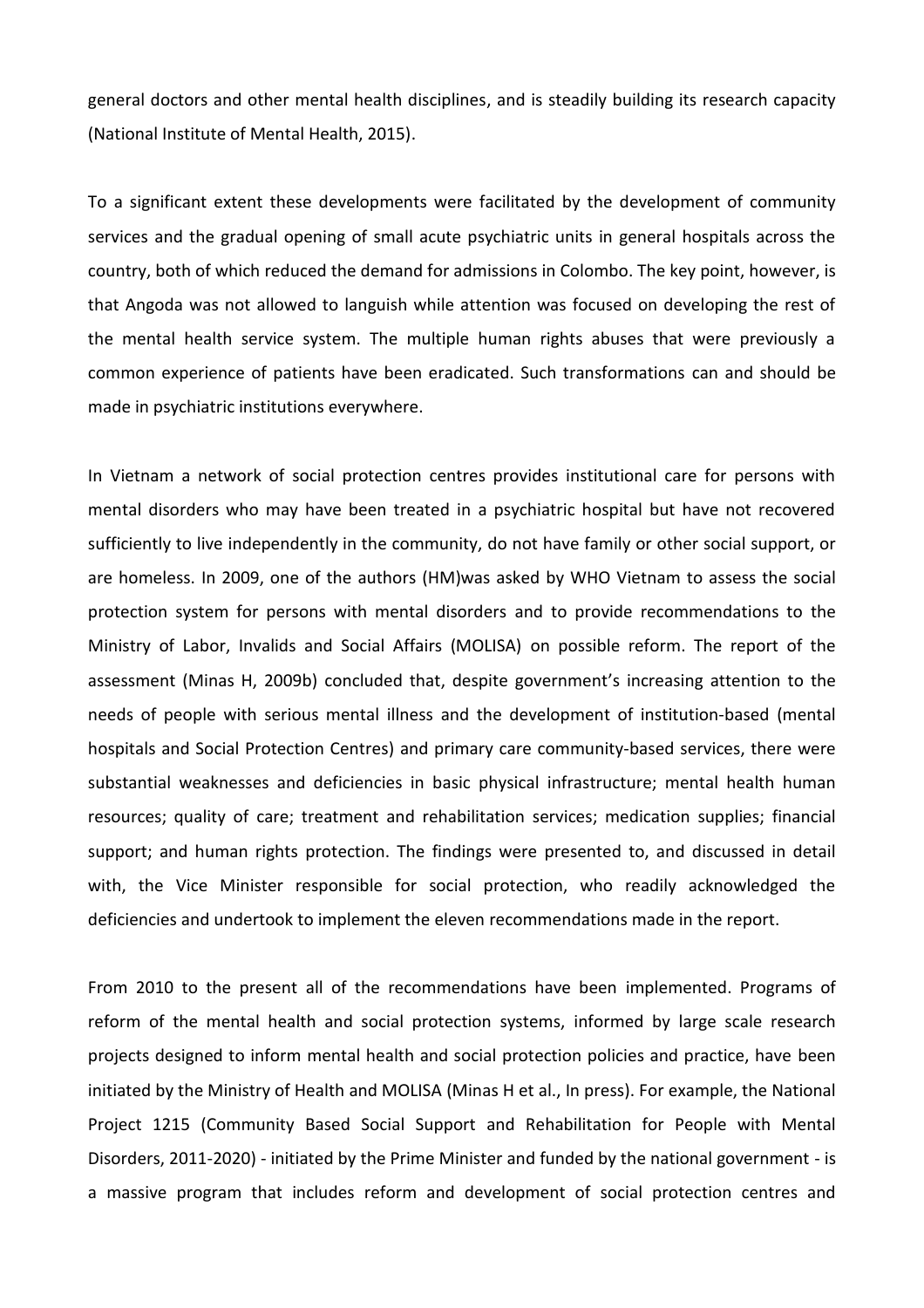general doctors and other mental health disciplines, and is steadily building its research capacity (National Institute of Mental Health, 2015).

To a significant extent these developments were facilitated by the development of community services and the gradual opening of small acute psychiatric units in general hospitals across the country, both of which reduced the demand for admissions in Colombo. The key point, however, is that Angoda was not allowed to languish while attention was focused on developing the rest of the mental health service system. The multiple human rights abuses that were previously a common experience of patients have been eradicated. Such transformations can and should be made in psychiatric institutions everywhere.

In Vietnam a network of social protection centres provides institutional care for persons with mental disorders who may have been treated in a psychiatric hospital but have not recovered sufficiently to live independently in the community, do not have family or other social support, or are homeless. In 2009, one of the authors (HM)was asked by WHO Vietnam to assess the social protection system for persons with mental disorders and to provide recommendations to the Ministry of Labor, Invalids and Social Affairs (MOLISA) on possible reform. The report of the assessment (Minas H, 2009b) concluded that, despite government's increasing attention to the needs of people with serious mental illness and the development of institution-based (mental hospitals and Social Protection Centres) and primary care community-based services, there were substantial weaknesses and deficiencies in basic physical infrastructure; mental health human resources; quality of care; treatment and rehabilitation services; medication supplies; financial support; and human rights protection. The findings were presented to, and discussed in detail with, the Vice Minister responsible for social protection, who readily acknowledged the deficiencies and undertook to implement the eleven recommendations made in the report.

From 2010 to the present all of the recommendations have been implemented. Programs of reform of the mental health and social protection systems, informed by large scale research projects designed to inform mental health and social protection policies and practice, have been initiated by the Ministry of Health and MOLISA (Minas H et al., In press). For example, the National Project 1215 (Community Based Social Support and Rehabilitation for People with Mental Disorders, 2011-2020) - initiated by the Prime Minister and funded by the national government - is a massive program that includes reform and development of social protection centres and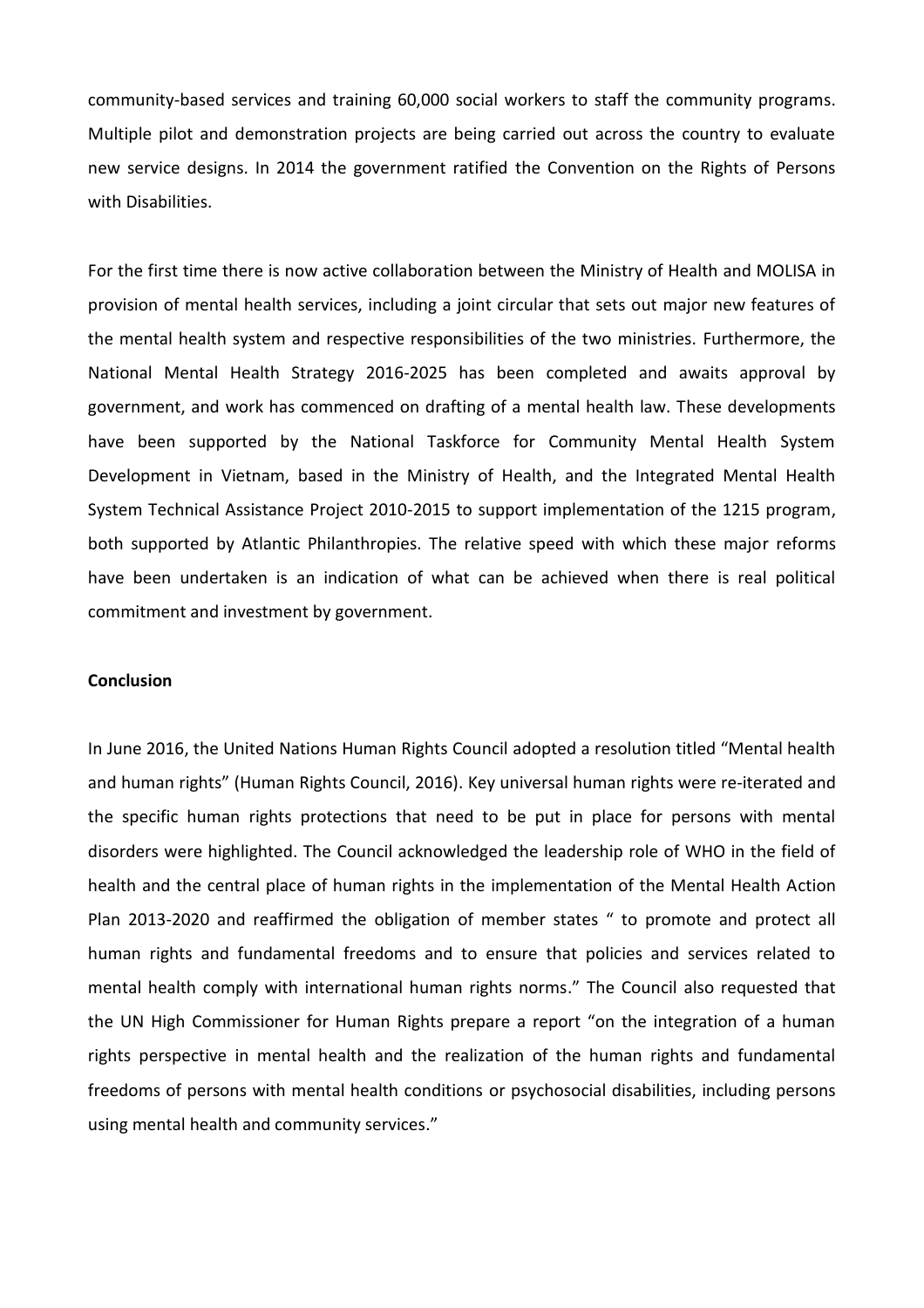community-based services and training 60,000 social workers to staff the community programs. Multiple pilot and demonstration projects are being carried out across the country to evaluate new service designs. In 2014 the government ratified the Convention on the Rights of Persons with Disabilities.

For the first time there is now active collaboration between the Ministry of Health and MOLISA in provision of mental health services, including a joint circular that sets out major new features of the mental health system and respective responsibilities of the two ministries. Furthermore, the National Mental Health Strategy 2016-2025 has been completed and awaits approval by government, and work has commenced on drafting of a mental health law. These developments have been supported by the National Taskforce for Community Mental Health System Development in Vietnam, based in the Ministry of Health, and the Integrated Mental Health System Technical Assistance Project 2010-2015 to support implementation of the 1215 program, both supported by Atlantic Philanthropies. The relative speed with which these major reforms have been undertaken is an indication of what can be achieved when there is real political commitment and investment by government.

## **Conclusion**

In June 2016, the United Nations Human Rights Council adopted a resolution titled "Mental health and human rights" (Human Rights Council, 2016). Key universal human rights were re-iterated and the specific human rights protections that need to be put in place for persons with mental disorders were highlighted. The Council acknowledged the leadership role of WHO in the field of health and the central place of human rights in the implementation of the Mental Health Action Plan 2013-2020 and reaffirmed the obligation of member states " to promote and protect all human rights and fundamental freedoms and to ensure that policies and services related to mental health comply with international human rights norms." The Council also requested that the UN High Commissioner for Human Rights prepare a report "on the integration of a human rights perspective in mental health and the realization of the human rights and fundamental freedoms of persons with mental health conditions or psychosocial disabilities, including persons using mental health and community services."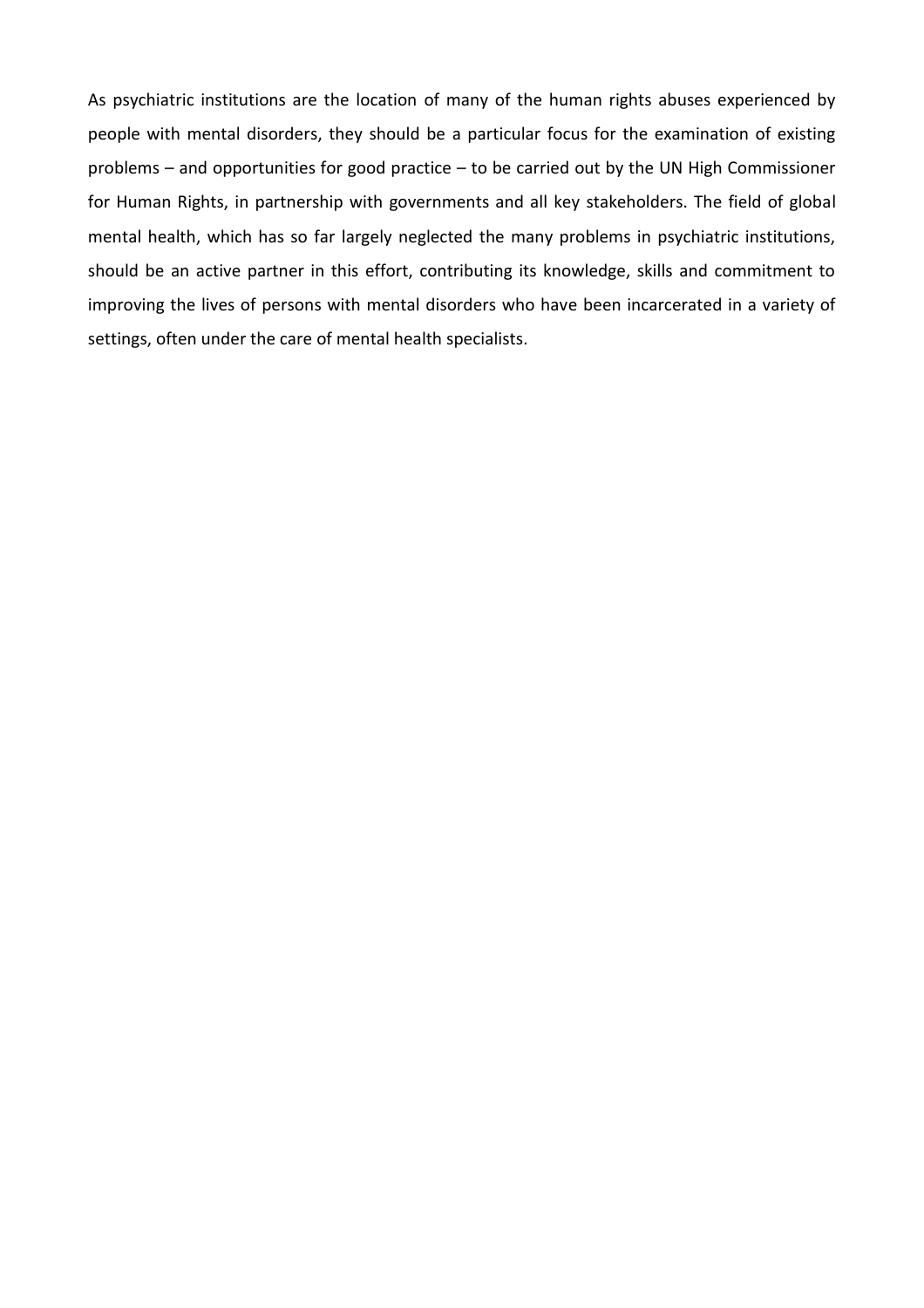As psychiatric institutions are the location of many of the human rights abuses experienced by people with mental disorders, they should be a particular focus for the examination of existing problems – and opportunities for good practice – to be carried out by the UN High Commissioner for Human Rights, in partnership with governments and all key stakeholders. The field of global mental health, which has so far largely neglected the many problems in psychiatric institutions, should be an active partner in this effort, contributing its knowledge, skills and commitment to improving the lives of persons with mental disorders who have been incarcerated in a variety of settings, often under the care of mental health specialists.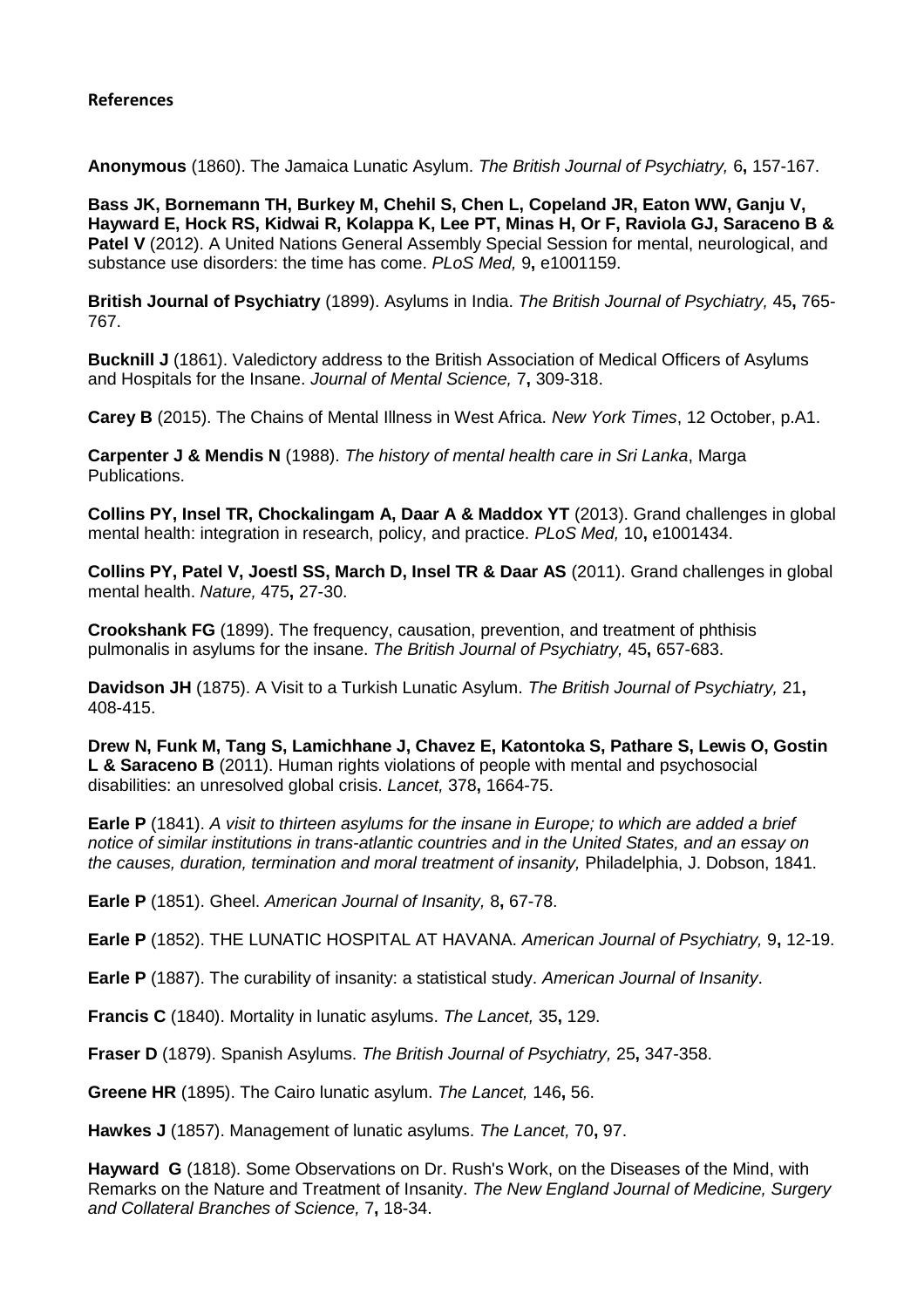## **References**

**Anonymous** (1860). The Jamaica Lunatic Asylum. *The British Journal of Psychiatry,* 6**,** 157-167.

**Bass JK, Bornemann TH, Burkey M, Chehil S, Chen L, Copeland JR, Eaton WW, Ganju V, Hayward E, Hock RS, Kidwai R, Kolappa K, Lee PT, Minas H, Or F, Raviola GJ, Saraceno B & Patel V** (2012). A United Nations General Assembly Special Session for mental, neurological, and substance use disorders: the time has come. *PLoS Med,* 9**,** e1001159.

**British Journal of Psychiatry** (1899). Asylums in India. *The British Journal of Psychiatry,* 45**,** 765- 767.

**Bucknill J** (1861). Valedictory address to the British Association of Medical Officers of Asylums and Hospitals for the Insane. *Journal of Mental Science,* 7**,** 309-318.

**Carey B** (2015). The Chains of Mental Illness in West Africa. *New York Times*, 12 October, p.A1.

**Carpenter J & Mendis N** (1988). *The history of mental health care in Sri Lanka*, Marga Publications.

**Collins PY, Insel TR, Chockalingam A, Daar A & Maddox YT** (2013). Grand challenges in global mental health: integration in research, policy, and practice. *PLoS Med,* 10**,** e1001434.

**Collins PY, Patel V, Joestl SS, March D, Insel TR & Daar AS** (2011). Grand challenges in global mental health. *Nature,* 475**,** 27-30.

**Crookshank FG** (1899). The frequency, causation, prevention, and treatment of phthisis pulmonalis in asylums for the insane. *The British Journal of Psychiatry,* 45**,** 657-683.

**Davidson JH** (1875). A Visit to a Turkish Lunatic Asylum. *The British Journal of Psychiatry,* 21**,** 408-415.

**Drew N, Funk M, Tang S, Lamichhane J, Chavez E, Katontoka S, Pathare S, Lewis O, Gostin L & Saraceno B** (2011). Human rights violations of people with mental and psychosocial disabilities: an unresolved global crisis. *Lancet,* 378**,** 1664-75.

**Earle P** (1841). *A visit to thirteen asylums for the insane in Europe; to which are added a brief notice of similar institutions in trans-atlantic countries and in the United States, and an essay on the causes, duration, termination and moral treatment of insanity,* Philadelphia, J. Dobson, 1841.

**Earle P** (1851). Gheel. *American Journal of Insanity,* 8**,** 67-78.

**Earle P** (1852). THE LUNATIC HOSPITAL AT HAVANA. *American Journal of Psychiatry,* 9**,** 12-19.

**Earle P** (1887). The curability of insanity: a statistical study. *American Journal of Insanity*.

**Francis C** (1840). Mortality in lunatic asylums. *The Lancet,* 35**,** 129.

**Fraser D** (1879). Spanish Asylums. *The British Journal of Psychiatry,* 25**,** 347-358.

**Greene HR** (1895). The Cairo lunatic asylum. *The Lancet,* 146**,** 56.

**Hawkes J** (1857). Management of lunatic asylums. *The Lancet,* 70**,** 97.

**Hayward G** (1818). Some Observations on Dr. Rush's Work, on the Diseases of the Mind, with Remarks on the Nature and Treatment of Insanity. *The New England Journal of Medicine, Surgery and Collateral Branches of Science,* 7**,** 18-34.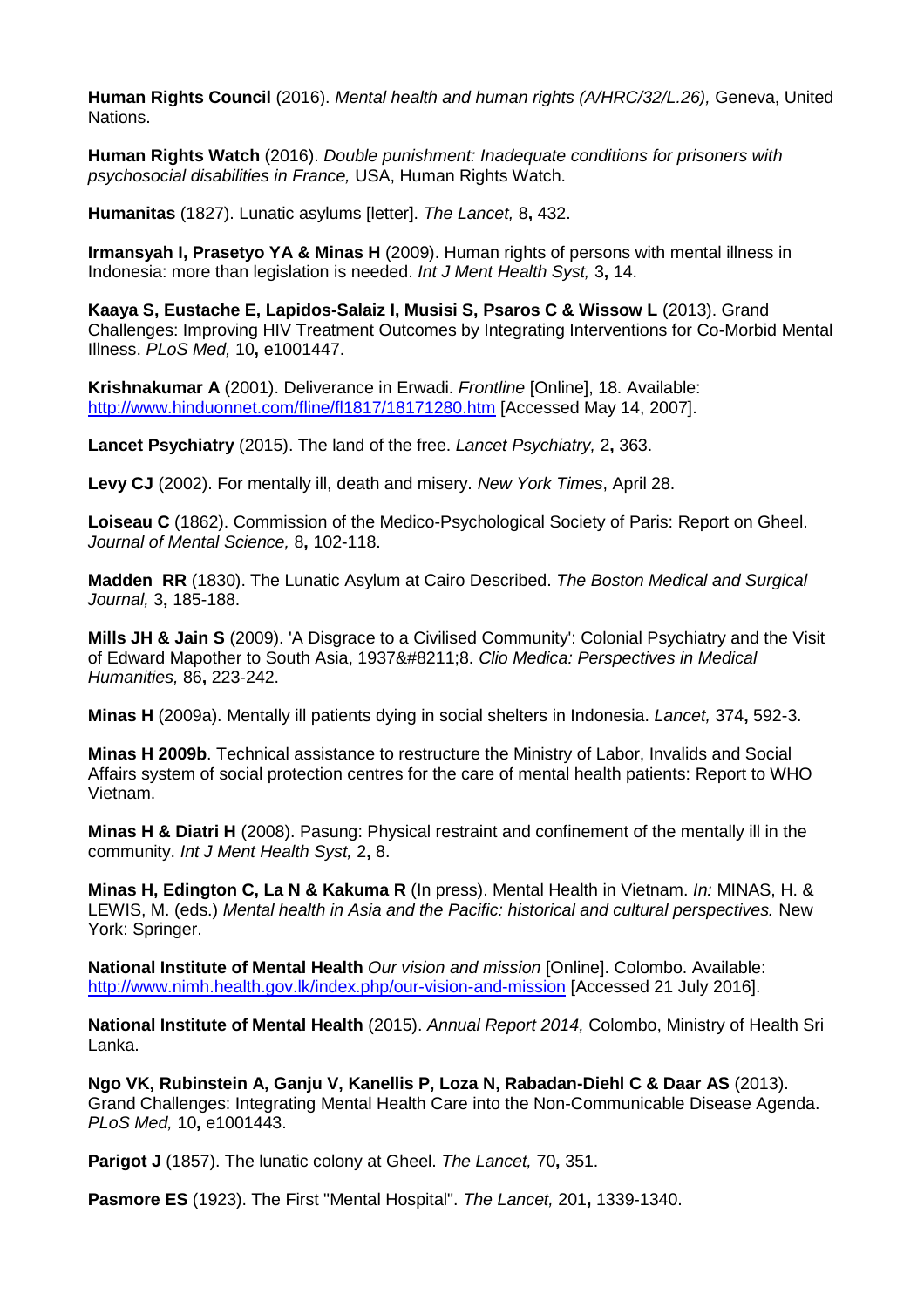**Human Rights Council** (2016). *Mental health and human rights (A/HRC/32/L.26),* Geneva, United Nations.

**Human Rights Watch** (2016). *Double punishment: Inadequate conditions for prisoners with psychosocial disabilities in France,* USA, Human Rights Watch.

**Humanitas** (1827). Lunatic asylums [letter]. *The Lancet,* 8**,** 432.

**Irmansyah I, Prasetyo YA & Minas H** (2009). Human rights of persons with mental illness in Indonesia: more than legislation is needed. *Int J Ment Health Syst,* 3**,** 14.

**Kaaya S, Eustache E, Lapidos-Salaiz I, Musisi S, Psaros C & Wissow L** (2013). Grand Challenges: Improving HIV Treatment Outcomes by Integrating Interventions for Co-Morbid Mental Illness. *PLoS Med,* 10**,** e1001447.

**Krishnakumar A** (2001). Deliverance in Erwadi. *Frontline* [Online], 18. Available: <http://www.hinduonnet.com/fline/fl1817/18171280.htm> [Accessed May 14, 2007].

**Lancet Psychiatry** (2015). The land of the free. *Lancet Psychiatry,* 2**,** 363.

**Levy CJ** (2002). For mentally ill, death and misery. *New York Times*, April 28.

**Loiseau C** (1862). Commission of the Medico-Psychological Society of Paris: Report on Gheel. *Journal of Mental Science,* 8**,** 102-118.

**Madden RR** (1830). The Lunatic Asylum at Cairo Described. *The Boston Medical and Surgical Journal,* 3**,** 185-188.

**Mills JH & Jain S** (2009). 'A Disgrace to a Civilised Community': Colonial Psychiatry and the Visit of Edward Mapother to South Asia, 1937–8. *Clio Medica: Perspectives in Medical Humanities,* 86**,** 223-242.

**Minas H** (2009a). Mentally ill patients dying in social shelters in Indonesia. *Lancet,* 374**,** 592-3.

**Minas H 2009b**. Technical assistance to restructure the Ministry of Labor, Invalids and Social Affairs system of social protection centres for the care of mental health patients: Report to WHO Vietnam.

**Minas H & Diatri H** (2008). Pasung: Physical restraint and confinement of the mentally ill in the community. *Int J Ment Health Syst,* 2**,** 8.

**Minas H, Edington C, La N & Kakuma R** (In press). Mental Health in Vietnam. *In:* MINAS, H. & LEWIS, M. (eds.) *Mental health in Asia and the Pacific: historical and cultural perspectives.* New York: Springer.

**National Institute of Mental Health** *Our vision and mission* [Online]. Colombo. Available: <http://www.nimh.health.gov.lk/index.php/our-vision-and-mission> [Accessed 21 July 2016].

**National Institute of Mental Health** (2015). *Annual Report 2014,* Colombo, Ministry of Health Sri Lanka.

**Ngo VK, Rubinstein A, Ganju V, Kanellis P, Loza N, Rabadan-Diehl C & Daar AS** (2013). Grand Challenges: Integrating Mental Health Care into the Non-Communicable Disease Agenda. *PLoS Med,* 10**,** e1001443.

**Parigot J** (1857). The lunatic colony at Gheel. *The Lancet,* 70**,** 351.

**Pasmore ES** (1923). The First "Mental Hospital". *The Lancet,* 201**,** 1339-1340.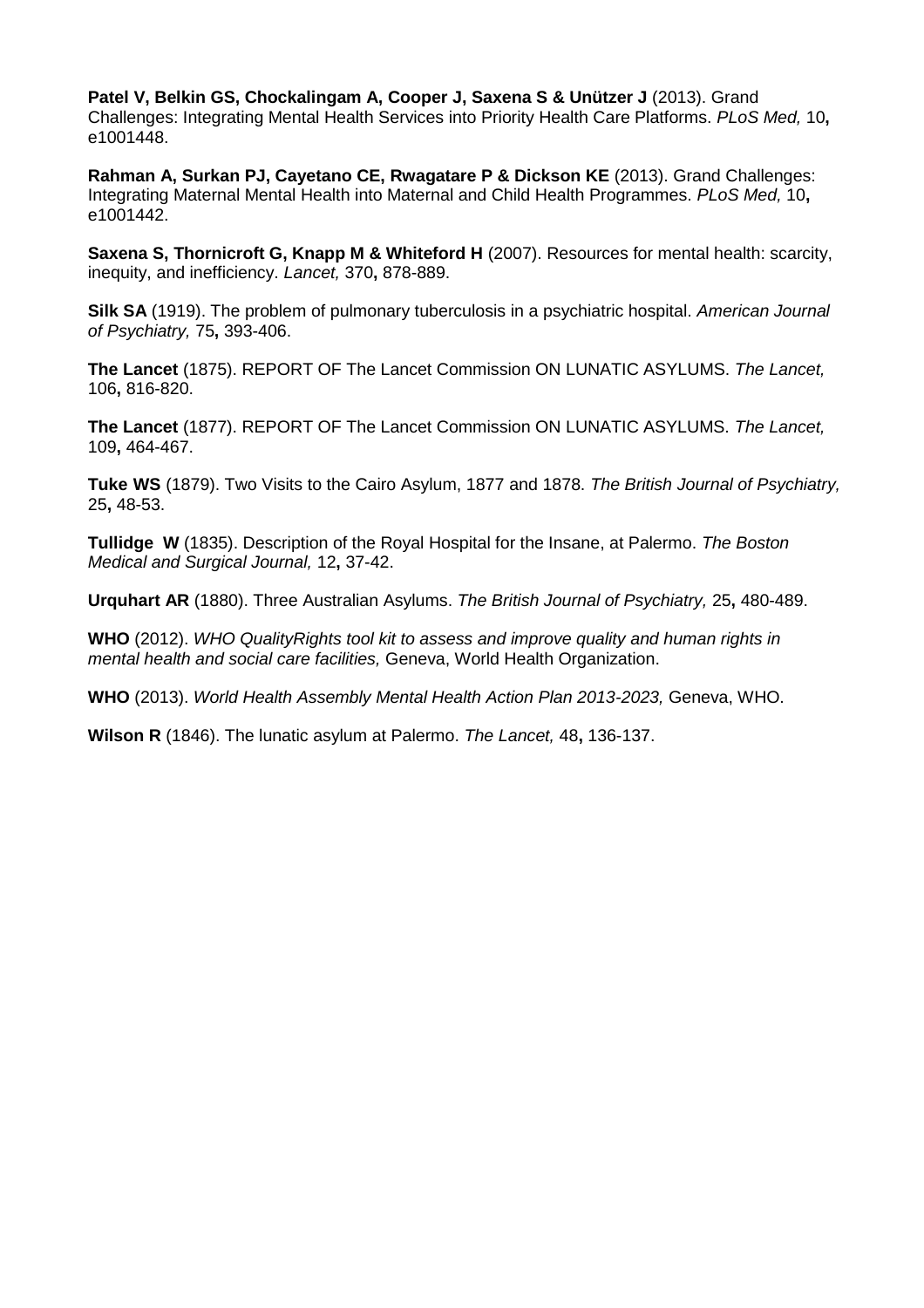**Patel V, Belkin GS, Chockalingam A, Cooper J, Saxena S & Unützer J** (2013). Grand Challenges: Integrating Mental Health Services into Priority Health Care Platforms. *PLoS Med,* 10**,** e1001448.

**Rahman A, Surkan PJ, Cayetano CE, Rwagatare P & Dickson KE** (2013). Grand Challenges: Integrating Maternal Mental Health into Maternal and Child Health Programmes. *PLoS Med,* 10**,** e1001442.

**Saxena S. Thornicroft G. Knapp M & Whiteford H** (2007). Resources for mental health: scarcity, inequity, and inefficiency. *Lancet,* 370**,** 878-889.

**Silk SA** (1919). The problem of pulmonary tuberculosis in a psychiatric hospital. *American Journal of Psychiatry,* 75**,** 393-406.

**The Lancet** (1875). REPORT OF The Lancet Commission ON LUNATIC ASYLUMS. *The Lancet,* 106**,** 816-820.

**The Lancet** (1877). REPORT OF The Lancet Commission ON LUNATIC ASYLUMS. *The Lancet,* 109**,** 464-467.

**Tuke WS** (1879). Two Visits to the Cairo Asylum, 1877 and 1878. *The British Journal of Psychiatry,* 25**,** 48-53.

**Tullidge W** (1835). Description of the Royal Hospital for the Insane, at Palermo. *The Boston Medical and Surgical Journal,* 12**,** 37-42.

**Urquhart AR** (1880). Three Australian Asylums. *The British Journal of Psychiatry,* 25**,** 480-489.

**WHO** (2012). *WHO QualityRights tool kit to assess and improve quality and human rights in mental health and social care facilities,* Geneva, World Health Organization.

**WHO** (2013). *World Health Assembly Mental Health Action Plan 2013-2023,* Geneva, WHO.

**Wilson R** (1846). The lunatic asylum at Palermo. *The Lancet,* 48**,** 136-137.